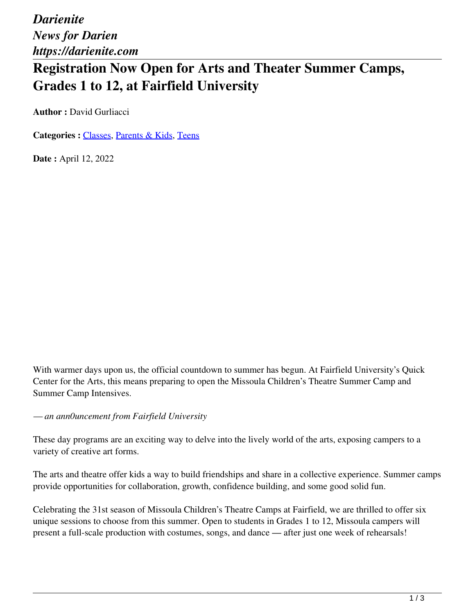*Darienite News for Darien https://darienite.com*

# **Registration Now Open for Arts and Theater Summer Camps, Grades 1 to 12, at Fairfield University**

**Author :** David Gurliacci

**Categories :** [Classes](https://darienite.com/category/living/classes), Parents & Kids, Teens

**Date :** April 12, 2022

With warmer days upon us, the official countdown to summer has begun. At Fairfield University's Quick Center for the Arts, this means preparing to open the Missoula Children's Theatre Summer Camp and Summer Camp Intensives.

*— an ann0uncement from Fairfield University*

These day programs are an exciting way to delve into the lively world of the arts, exposing campers to a variety of creative art forms.

The arts and theatre offer kids a way to build friendships and share in a collective experience. Summer camps provide opportunities for collaboration, growth, confidence building, and some good solid fun.

Celebrating the 31st season of Missoula Children's Theatre Camps at Fairfield, we are thrilled to offer six unique sessions to choose from this summer. Open to students in Grades 1 to 12, Missoula campers will present a full-scale production with costumes, songs, and dance — after just one week of rehearsals!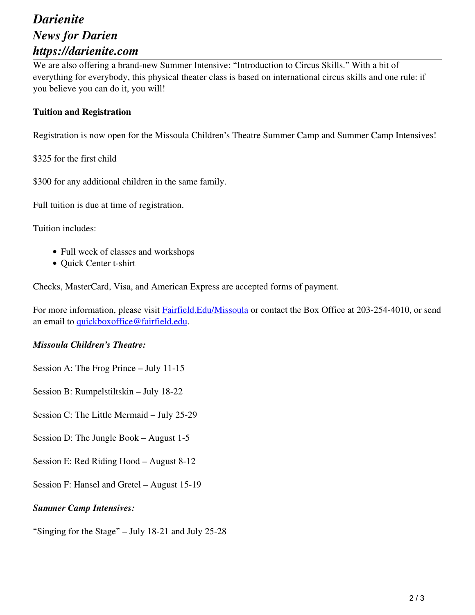### *Darienite News for Darien https://darienite.com*

We are also offering a brand-new Summer Intensive: "Introduction to Circus Skills." With a bit of everything for everybody, this physical theater class is based on international circus skills and one rule: if you believe you can do it, you will!

#### **Tuition and Registration**

Registration is now open for the Missoula Children's Theatre Summer Camp and Summer Camp Intensives!

\$325 for the first child

\$300 for any additional children in the same family.

Full tuition is due at time of registration.

Tuition includes:

- Full week of classes and workshops
- Quick Center t-shirt

Checks, MasterCard, Visa, and American Express are accepted forms of payment.

For more information, please visit **Fairfield. Edu/Missoula** or contact the Box Office at 203-254-4010, or send an email to quickboxoffice@fairfield.edu.

#### *Missoula Children's Theatre:*

Session A: The Frog Prince – July 11-15

Session B: Rumpelstiltskin – July 18-22

Session C: The Little Mermaid – July 25-29

Session D: The Jungle Book – August 1-5

Session E: Red Riding Hood – August 8-12

Session F: Hansel and Gretel – August 15-19

#### *Summer Camp Intensives:*

"Singing for the Stage" – July 18-21 and July 25-28